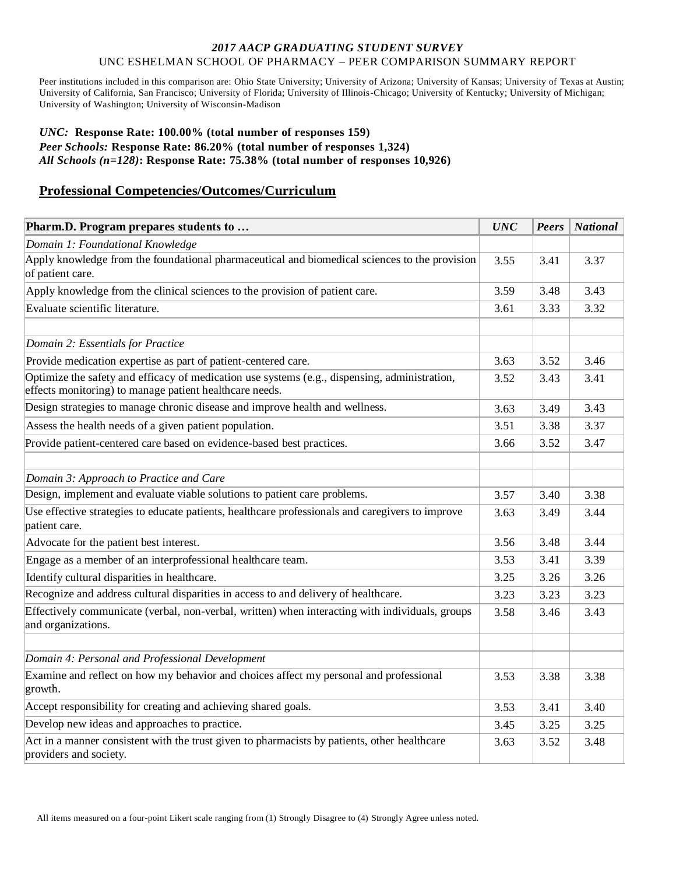### *2017 AACP GRADUATING STUDENT SURVEY* UNC ESHELMAN SCHOOL OF PHARMACY – PEER COMPARISON SUMMARY REPORT

Peer institutions included in this comparison are: Ohio State University; University of Arizona; University of Kansas; University of Texas at Austin; University of California, San Francisco; University of Florida; University of Illinois-Chicago; University of Kentucky; University of Michigan; University of Washington; University of Wisconsin-Madison

### *UNC:* **Response Rate: 100.00% (total number of responses 159)** *Peer Schools:* **Response Rate: 86.20% (total number of responses 1,324)** *All Schools (n=128)***: Response Rate: 75.38% (total number of responses 10,926)**

### **Professional Competencies/Outcomes/Curriculum**

| Pharm.D. Program prepares students to                                                                                                                      |      | <b>Peers</b> | <b>National</b> |
|------------------------------------------------------------------------------------------------------------------------------------------------------------|------|--------------|-----------------|
| Domain 1: Foundational Knowledge                                                                                                                           |      |              |                 |
| Apply knowledge from the foundational pharmaceutical and biomedical sciences to the provision<br>of patient care.                                          |      | 3.41         | 3.37            |
| Apply knowledge from the clinical sciences to the provision of patient care.                                                                               |      | 3.48         | 3.43            |
| Evaluate scientific literature.                                                                                                                            |      | 3.33         | 3.32            |
| Domain 2: Essentials for Practice                                                                                                                          |      |              |                 |
| Provide medication expertise as part of patient-centered care.                                                                                             | 3.63 | 3.52         | 3.46            |
| Optimize the safety and efficacy of medication use systems $(e.g.,$ dispensing, administration,<br>effects monitoring) to manage patient healthcare needs. | 3.52 | 3.43         | 3.41            |
| Design strategies to manage chronic disease and improve health and wellness.                                                                               | 3.63 | 3.49         | 3.43            |
| Assess the health needs of a given patient population.                                                                                                     | 3.51 | 3.38         | 3.37            |
| Provide patient-centered care based on evidence-based best practices.                                                                                      |      | 3.52         | 3.47            |
| Domain 3: Approach to Practice and Care                                                                                                                    |      |              |                 |
| Design, implement and evaluate viable solutions to patient care problems.                                                                                  |      | 3.40         | 3.38            |
| Use effective strategies to educate patients, healthcare professionals and caregivers to improve<br>patient care.                                          | 3.63 | 3.49         | 3.44            |
| Advocate for the patient best interest.                                                                                                                    | 3.56 | 3.48         | 3.44            |
| Engage as a member of an interprofessional healthcare team.                                                                                                | 3.53 | 3.41         | 3.39            |
| Identify cultural disparities in healthcare.                                                                                                               | 3.25 | 3.26         | 3.26            |
| Recognize and address cultural disparities in access to and delivery of healthcare.                                                                        | 3.23 | 3.23         | 3.23            |
| Effectively communicate (verbal, non-verbal, written) when interacting with individuals, groups<br>and organizations.                                      | 3.58 | 3.46         | 3.43            |
| Domain 4: Personal and Professional Development                                                                                                            |      |              |                 |
| Examine and reflect on how my behavior and choices affect my personal and professional<br>growth.                                                          |      | 3.38         | 3.38            |
| Accept responsibility for creating and achieving shared goals.                                                                                             |      | 3.41         | 3.40            |
| Develop new ideas and approaches to practice.                                                                                                              | 3.45 | 3.25         | 3.25            |
| Act in a manner consistent with the trust given to pharmacists by patients, other healthcare<br>providers and society.                                     |      | 3.52         | 3.48            |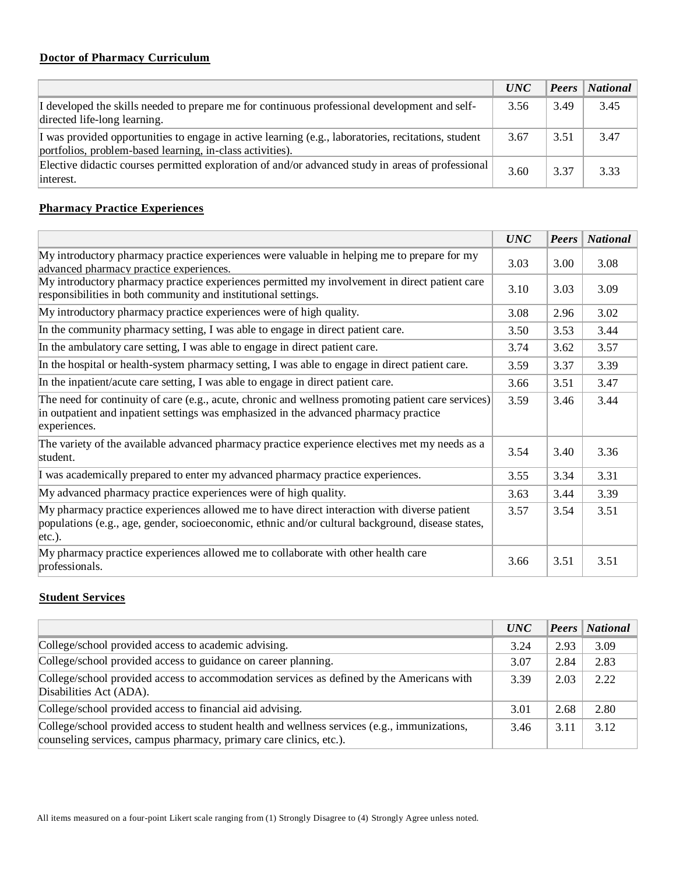# **Doctor of Pharmacy Curriculum**

|                                                                                                                                                                  | <i>UNC</i> |      | <b>Peers</b> National |
|------------------------------------------------------------------------------------------------------------------------------------------------------------------|------------|------|-----------------------|
| I developed the skills needed to prepare me for continuous professional development and self-<br>directed life-long learning.                                    | 3.56       | 3.49 | 3.45                  |
| I was provided opportunities to engage in active learning (e.g., laboratories, recitations, student<br>portfolios, problem-based learning, in-class activities). | 3.67       | 3.51 | 3.47                  |
| Elective didactic courses permitted exploration of and/or advanced study in areas of professional<br>interest.                                                   | 3.60       | 3.37 | 3.33                  |

## **Pharmacy Practice Experiences**

|                                                                                                                                                                                                               | <b>UNC</b> | Peers | <b>National</b> |
|---------------------------------------------------------------------------------------------------------------------------------------------------------------------------------------------------------------|------------|-------|-----------------|
| My introductory pharmacy practice experiences were valuable in helping me to prepare for my<br>advanced pharmacy practice experiences.                                                                        |            | 3.00  | 3.08            |
| My introductory pharmacy practice experiences permitted my involvement in direct patient care<br>responsibilities in both community and institutional settings.                                               |            | 3.03  | 3.09            |
| My introductory pharmacy practice experiences were of high quality.                                                                                                                                           | 3.08       | 2.96  | 3.02            |
| In the community pharmacy setting, I was able to engage in direct patient care.                                                                                                                               | 3.50       | 3.53  | 3.44            |
| In the ambulatory care setting, I was able to engage in direct patient care.                                                                                                                                  | 3.74       | 3.62  | 3.57            |
| In the hospital or health-system pharmacy setting, I was able to engage in direct patient care.                                                                                                               | 3.59       | 3.37  | 3.39            |
| In the inpatient/acute care setting, I was able to engage in direct patient care.                                                                                                                             |            | 3.51  | 3.47            |
| The need for continuity of care (e.g., acute, chronic and wellness promoting patient care services)<br>in outpatient and inpatient settings was emphasized in the advanced pharmacy practice<br>experiences.  |            | 3.46  | 3.44            |
| The variety of the available advanced pharmacy practice experience electives met my needs as a<br>student.                                                                                                    |            | 3.40  | 3.36            |
| I was academically prepared to enter my advanced pharmacy practice experiences.                                                                                                                               |            | 3.34  | 3.31            |
| My advanced pharmacy practice experiences were of high quality.                                                                                                                                               |            | 3.44  | 3.39            |
| My pharmacy practice experiences allowed me to have direct interaction with diverse patient<br>populations (e.g., age, gender, socioeconomic, ethnic and/or cultural background, disease states,<br>$etc.$ ). |            | 3.54  | 3.51            |
| My pharmacy practice experiences allowed me to collaborate with other health care<br>professionals.                                                                                                           | 3.66       | 3.51  | 3.51            |

## **Student Services**

|                                                                                                                                                                    | <i>UNC</i> |      | <b>Peers</b>   National |
|--------------------------------------------------------------------------------------------------------------------------------------------------------------------|------------|------|-------------------------|
| College/school provided access to academic advising.                                                                                                               | 3.24       | 2.93 | 3.09                    |
| College/school provided access to guidance on career planning.                                                                                                     |            | 2.84 | 2.83                    |
| College/school provided access to accommodation services as defined by the Americans with<br>Disabilities Act (ADA).                                               |            | 2.03 | 2.22                    |
| College/school provided access to financial aid advising.                                                                                                          |            | 2.68 | 2.80                    |
| College/school provided access to student health and wellness services (e.g., immunizations,<br>counseling services, campus pharmacy, primary care clinics, etc.). | 3.46       | 3.11 | 3.12                    |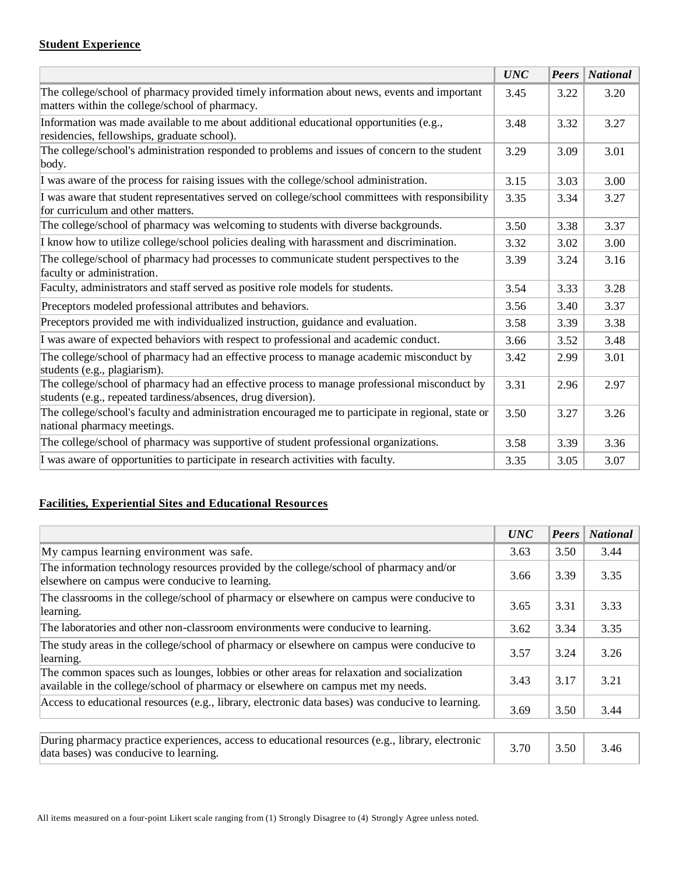### **Student Experience**

|                                                                                                                                                               | <b>UNC</b> | Peers | <i>National</i> |
|---------------------------------------------------------------------------------------------------------------------------------------------------------------|------------|-------|-----------------|
| The college/school of pharmacy provided timely information about news, events and important<br>matters within the college/school of pharmacy.                 | 3.45       | 3.22  | 3.20            |
| Information was made available to me about additional educational opportunities $(e.g.,)$<br>residencies, fellowships, graduate school).                      | 3.48       | 3.32  | 3.27            |
| The college/school's administration responded to problems and issues of concern to the student<br>body.                                                       | 3.29       | 3.09  | 3.01            |
| I was aware of the process for raising issues with the college/school administration.                                                                         | 3.15       | 3.03  | 3.00            |
| I was aware that student representatives served on college/school committees with responsibility<br>for curriculum and other matters.                         | 3.35       | 3.34  | 3.27            |
| The college/school of pharmacy was welcoming to students with diverse backgrounds.                                                                            | 3.50       | 3.38  | 3.37            |
| I know how to utilize college/school policies dealing with harassment and discrimination.                                                                     |            | 3.02  | 3.00            |
| The college/school of pharmacy had processes to communicate student perspectives to the<br>faculty or administration.                                         |            | 3.24  | 3.16            |
| Faculty, administrators and staff served as positive role models for students.                                                                                |            | 3.33  | 3.28            |
| Preceptors modeled professional attributes and behaviors.                                                                                                     |            | 3.40  | 3.37            |
| Preceptors provided me with individualized instruction, guidance and evaluation.                                                                              |            | 3.39  | 3.38            |
| I was aware of expected behaviors with respect to professional and academic conduct.                                                                          | 3.66       | 3.52  | 3.48            |
| The college/school of pharmacy had an effective process to manage academic misconduct by<br>students (e.g., plagiarism).                                      |            | 2.99  | 3.01            |
| The college/school of pharmacy had an effective process to manage professional misconduct by<br>students (e.g., repeated tardiness/absences, drug diversion). | 3.31       | 2.96  | 2.97            |
| The college/school's faculty and administration encouraged me to participate in regional, state or<br>national pharmacy meetings.                             | 3.50       | 3.27  | 3.26            |
| The college/school of pharmacy was supportive of student professional organizations.                                                                          | 3.58       | 3.39  | 3.36            |
| I was aware of opportunities to participate in research activities with faculty.                                                                              | 3.35       | 3.05  | 3.07            |

## **Facilities, Experiential Sites and Educational Resources**

|                                                                                                                                                                                | <b>UNC</b> | Peters | <b>National</b> |
|--------------------------------------------------------------------------------------------------------------------------------------------------------------------------------|------------|--------|-----------------|
| My campus learning environment was safe.                                                                                                                                       | 3.63       | 3.50   | 3.44            |
| The information technology resources provided by the college/school of pharmacy and/or<br>elsewhere on campus were conducive to learning.                                      |            | 3.39   | 3.35            |
| The classrooms in the college/school of pharmacy or elsewhere on campus were conducive to<br>learning.                                                                         |            | 3.31   | 3.33            |
| The laboratories and other non-classroom environments were conducive to learning.                                                                                              |            | 3.34   | 3.35            |
| The study areas in the college/school of pharmacy or elsewhere on campus were conducive to<br>learning.                                                                        |            | 3.24   | 3.26            |
| The common spaces such as lounges, lobbies or other areas for relaxation and socialization<br>available in the college/school of pharmacy or elsewhere on campus met my needs. | 3.43       | 3.17   | 3.21            |
| Access to educational resources (e.g., library, electronic data bases) was conducive to learning.                                                                              | 3.69       | 3.50   | 3.44            |

| During pharmacy practice experiences, access to educational resources (e.g., library, electronic | 3.70 |      |      |
|--------------------------------------------------------------------------------------------------|------|------|------|
| data bases) was conducive to learning.                                                           |      | 3.50 | 3.46 |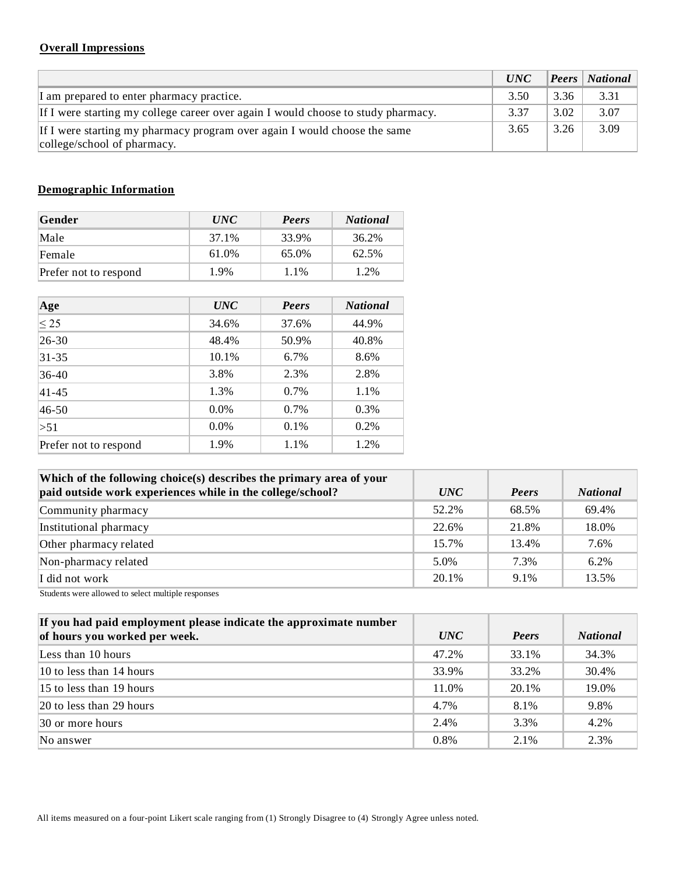## **Overall Impressions**

|                                                                                                          | <i>UNC</i> |      | <b>Peers</b>   National |
|----------------------------------------------------------------------------------------------------------|------------|------|-------------------------|
| I am prepared to enter pharmacy practice.                                                                | 3.50       | 3.36 | 3.31                    |
| If I were starting my college career over again I would choose to study pharmacy.                        | 3.37       | 3.02 | 3.07                    |
| If I were starting my pharmacy program over again I would choose the same<br>college/school of pharmacy. | 3.65       | 3.26 | 3.09                    |

# **Demographic Information**

| Gender                | <i>UNC</i> | Peers | <b>National</b> |
|-----------------------|------------|-------|-----------------|
| Male                  | 37.1%      | 33.9% | 36.2%           |
| Female                | 61.0%      | 65.0% | 62.5%           |
| Prefer not to respond | 1.9%       | 1.1%  | 1.2%            |

| Age                   | <i>UNC</i> | Peers   | <b>National</b> |
|-----------------------|------------|---------|-----------------|
| $\leq$ 25             | 34.6%      | 37.6%   | 44.9%           |
| $26 - 30$             | 48.4%      | 50.9%   | 40.8%           |
| $31 - 35$             | 10.1%      | $6.7\%$ | 8.6%            |
| 36-40                 | 3.8%       | 2.3%    | 2.8%            |
| $41 - 45$             | 1.3%       | $0.7\%$ | 1.1%            |
| $46 - 50$             | $0.0\%$    | $0.7\%$ | 0.3%            |
| >51                   | $0.0\%$    | 0.1%    | 0.2%            |
| Prefer not to respond | 1.9%       | 1.1%    | 1.2%            |

| Which of the following choice(s) describes the primary area of your<br>paid outside work experiences while in the college/school? | <i>UNC</i> | Peers   | <b>National</b> |
|-----------------------------------------------------------------------------------------------------------------------------------|------------|---------|-----------------|
| Community pharmacy                                                                                                                | 52.2%      | 68.5%   | 69.4%           |
| Institutional pharmacy                                                                                                            | 22.6%      | 21.8%   | 18.0%           |
| Other pharmacy related                                                                                                            | 15.7%      | 13.4%   | 7.6%            |
| Non-pharmacy related                                                                                                              | 5.0%       | 7.3%    | 6.2%            |
| I did not work                                                                                                                    | 20.1%      | $9.1\%$ | 13.5%           |

Students were allowed to select multiple responses

| If you had paid employment please indicate the approximate number<br>of hours you worked per week. | <i>UNC</i> | Peers   | <b>National</b> |
|----------------------------------------------------------------------------------------------------|------------|---------|-----------------|
| Less than 10 hours                                                                                 | 47.2%      | 33.1%   | 34.3%           |
| $10$ to less than 14 hours                                                                         | 33.9%      | 33.2%   | 30.4%           |
| $15$ to less than 19 hours                                                                         | 11.0%      | 20.1%   | 19.0%           |
| $ 20 \text{ to less than } 29 \text{ hours} $                                                      | 4.7%       | 8.1%    | 9.8%            |
| $ 30 \text{ or more hours} $                                                                       | 2.4%       | 3.3%    | 4.2%            |
| No answer                                                                                          | $0.8\%$    | $2.1\%$ | 2.3%            |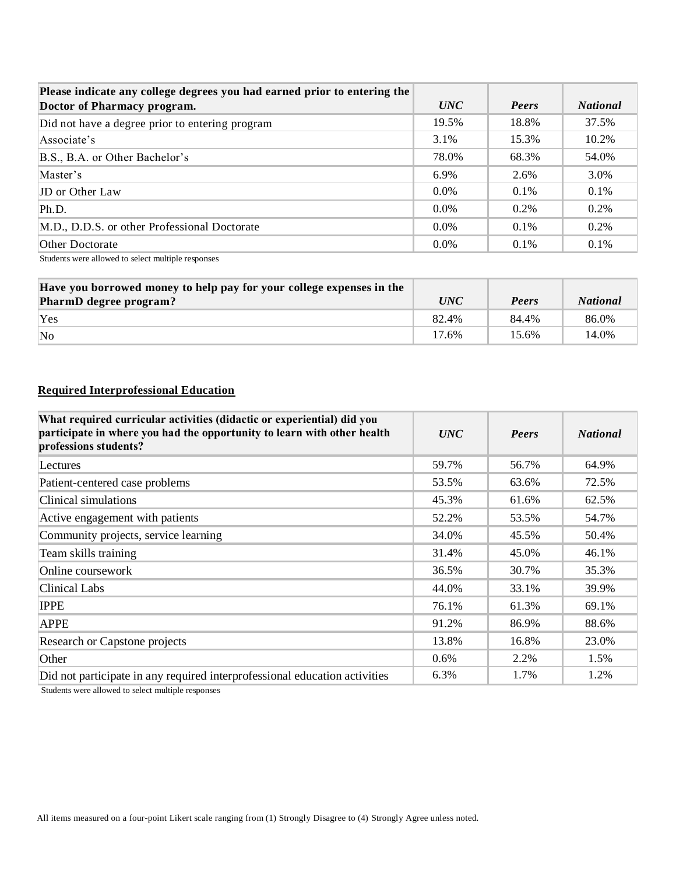| Please indicate any college degrees you had earned prior to entering the | <i>UNC</i> | Peers   | <b>National</b> |
|--------------------------------------------------------------------------|------------|---------|-----------------|
| Doctor of Pharmacy program.                                              |            |         |                 |
| Did not have a degree prior to entering program                          | 19.5%      | 18.8%   | 37.5%           |
| Associate's                                                              | 3.1%       | 15.3%   | 10.2%           |
| B.S., B.A. or Other Bachelor's                                           | 78.0%      | 68.3%   | 54.0%           |
| Master's                                                                 | 6.9%       | 2.6%    | 3.0%            |
| <b>JD</b> or Other Law                                                   | $0.0\%$    | $0.1\%$ | $0.1\%$         |
| Ph.D.                                                                    | $0.0\%$    | 0.2%    | $0.2\%$         |
| M.D., D.D.S. or other Professional Doctorate                             | $0.0\%$    | $0.1\%$ | $0.2\%$         |
| Other Doctorate                                                          | $0.0\%$    | $0.1\%$ | $0.1\%$         |

Students were allowed to select multiple responses

| Have you borrowed money to help pay for your college expenses in the<br>PharmD degree program? | <i>UNC</i> | Peers | <b>National</b> |
|------------------------------------------------------------------------------------------------|------------|-------|-----------------|
| 'Yes                                                                                           | 82.4%      | 84.4% | 86.0%           |
| $\overline{\text{No}}$                                                                         | 17.6%      | 15.6% | 14.0%           |

## **Required Interprofessional Education**

| What required curricular activities (didactic or experiential) did you<br>participate in where you had the opportunity to learn with other health<br>professions students? | <b>UNC</b> | Peers | <b>National</b> |
|----------------------------------------------------------------------------------------------------------------------------------------------------------------------------|------------|-------|-----------------|
| Lectures                                                                                                                                                                   | 59.7%      | 56.7% | 64.9%           |
| Patient-centered case problems                                                                                                                                             | 53.5%      | 63.6% | 72.5%           |
| Clinical simulations                                                                                                                                                       | 45.3%      | 61.6% | 62.5%           |
| Active engagement with patients                                                                                                                                            | 52.2%      | 53.5% | 54.7%           |
| Community projects, service learning                                                                                                                                       | 34.0%      | 45.5% | 50.4%           |
| Team skills training                                                                                                                                                       | 31.4%      | 45.0% | 46.1%           |
| Online coursework                                                                                                                                                          | 36.5%      | 30.7% | 35.3%           |
| Clinical Labs                                                                                                                                                              | 44.0%      | 33.1% | 39.9%           |
| <b>IPPE</b>                                                                                                                                                                | 76.1%      | 61.3% | 69.1%           |
| <b>APPE</b>                                                                                                                                                                | 91.2%      | 86.9% | 88.6%           |
| Research or Capstone projects                                                                                                                                              | 13.8%      | 16.8% | 23.0%           |
| Other                                                                                                                                                                      | $0.6\%$    | 2.2%  | 1.5%            |
| Did not participate in any required interprofessional education activities                                                                                                 | 6.3%       | 1.7%  | 1.2%            |

Students were allowed to select multiple responses